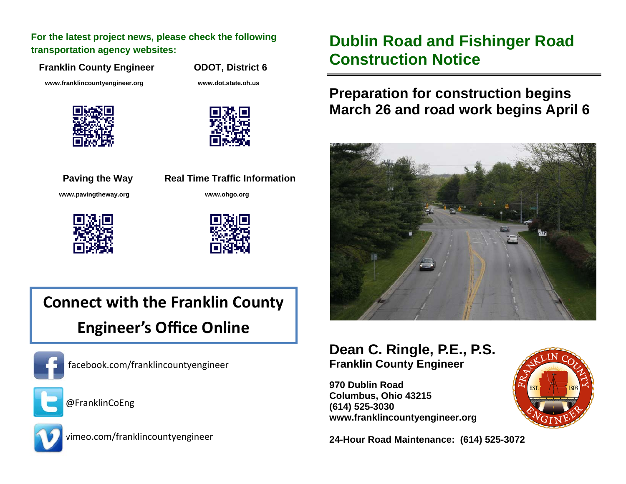**For the latest project news, please check the following transportation agency websites:** 

**Franklin County Engineer ODOT, District 6** 

 **www.franklincountyengineer.org www.dot.state.oh.us** 







**Paving the Way Real Time Traffic Information www.pavingtheway.org www.ohgo.org** 





# **Connect with the Franklin County Engineer's O ffice Online**



facebook.com/franklincountyengineer



@FranklinCoEng



vimeo.com/franklincountyengineer

## **Dublin Road and Fishinger Road Construction Notice**

### **Preparation for construction begins March 26 and road work begins April 6**



#### **Dean C. Ringle, P.E., P.S. Franklin County Engineer**

**970 Dublin Road Columbus, Ohio 43215 (614) 525-3030 www.franklincountyengineer.org** 

**24-Hour Road Maintenance: (614) 525-3072**